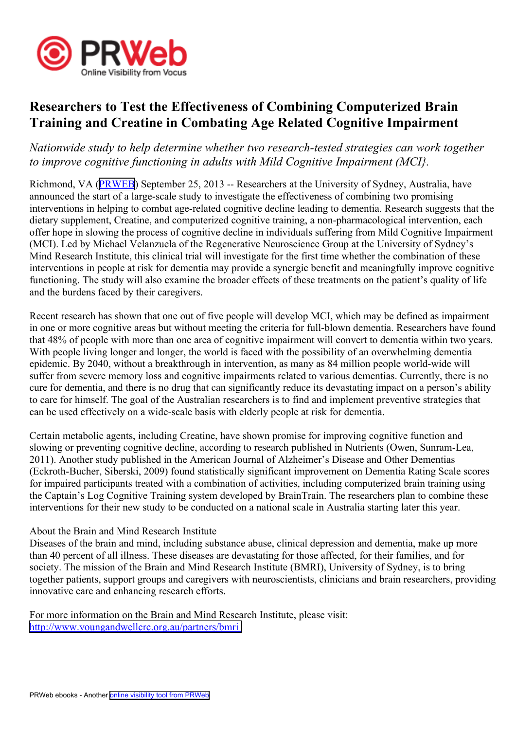

## **Researchers to Test the Effectiveness of Combining Computerized Brain Training and Creatine in Combating Age Related Cognitive Impairment**

## *Nationwide study to help determine whether two research-tested strategies can work together to improve cognitive functioning in adults with Mild Cognitive Impairment (MCI}.*

Richmond, VA [\(PRWEB\)](http://www.prweb.com) September 25, 2013 -- Researchers at the University of Sydney, Australia, have announced the start of <sup>a</sup> large-scale study to investigate the effectiveness of combining two promising interventions in helping to combat age-related cognitive decline leading to dementia. Research suggests that the dietary supplement, Creatine, and computerized cognitive training, <sup>a</sup> non-pharmacological intervention, each offer hope in slowing the process of cognitive decline in individuals suffering from Mild Cognitive Impairment (MCI). Led by Michael Velanzuela of the Regenerative Neuroscience Group at the University of Sydney's Mind Research Institute, this clinical trial will investigate for the first time whether the combination of these interventions in people at risk for dementia may provide <sup>a</sup> synergic benefit and meaningfully improve cognitive functioning. The study will also examine the broader effects of these treatments on the patient's quality of life and the burdens faced by their caregivers.

Recent research has shown that one out of five people will develop MCI, which may be defined as impairment in one or more cognitive areas but without meeting the criteria for full-blown dementia. Researchers have found that 48% of people with more than one area of cognitive impairment will convert to dementia within two years. With people living longer and longer, the world is faced with the possibility of an overwhelming dementia epidemic. By 2040, without <sup>a</sup> breakthrough in intervention, as many as 84 million people world-wide will suffer from severe memory loss and cognitive impairments related to various dementias. Currently, there is no cure for dementia, and there is no drug that can significantly reduce its devastating impact on <sup>a</sup> person's ability to care for himself. The goal of the Australian researchers is to find and implement preventive strategies that can be used effectively on <sup>a</sup> wide-scale basis with elderly people at risk for dementia.

Certain metabolic agents, including Creatine, have shown promise for improving cognitive function and slowing or preventing cognitive decline, according to research published in Nutrients (Owen, Sunram-Lea, 2011). Another study published in the American Journal of Alzheimer's Disease and Other Dementias (Eckroth-Bucher, Siberski, 2009) found statistically significant improvement on Dementia Rating Scale scores for impaired participants treated with <sup>a</sup> combination of activities, including computerized brain training using the Captain's Log Cognitive Training system developed by BrainTrain. The researchers plan to combine these interventions for their new study to be conducted on <sup>a</sup> national scale in Australia starting later this year.

## About the Brain and Mind Research Institute

Diseases of the brain and mind, including substance abuse, clinical depression and dementia, make up more than 40 percen<sup>t</sup> of all illness. These diseases are devastating for those affected, for their families, and for society. The mission of the Brain and Mind Research Institute (BMRI), University of Sydney, is to bring together patients, suppor<sup>t</sup> groups and caregivers with neuroscientists, clinicians and brain researchers, providing innovative care and enhancing research efforts.

For more information on the Brain and Mind Research Institute, please visit: <http://www.youngandwellcrc.org.au/partners/bmri>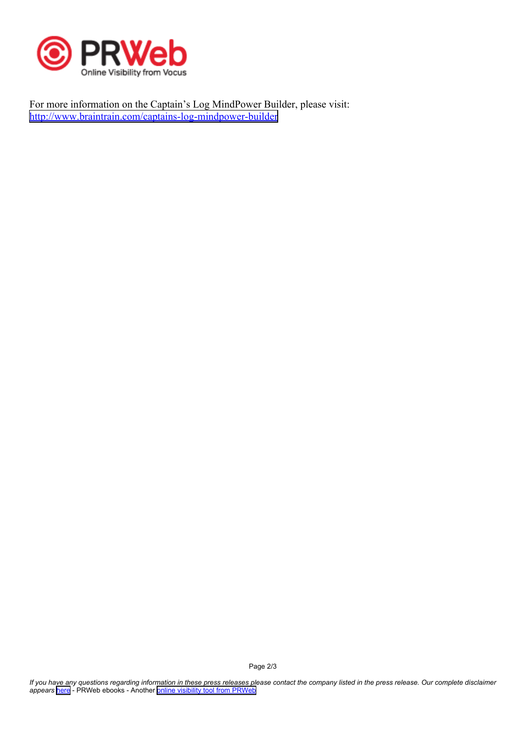

For more information on the Captain's Log MindPower Builder, please visit: <http://www.braintrain.com/captains-log-mindpower-builder>